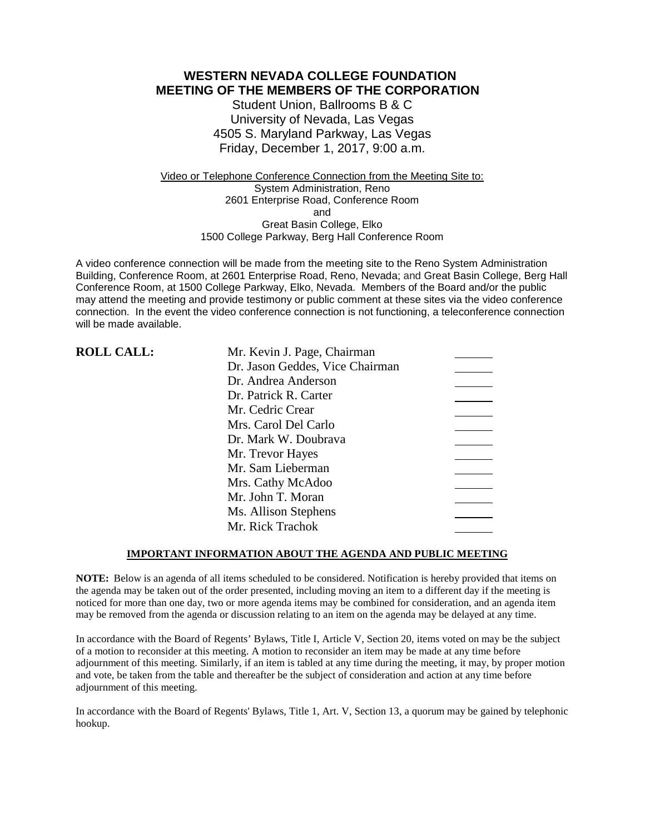**WESTERN NEVADA COLLEGE FOUNDATION MEETING OF THE MEMBERS OF THE CORPORATION**

> Student Union, Ballrooms B & C University of Nevada, Las Vegas 4505 S. Maryland Parkway, Las Vegas Friday, December 1, 2017, 9:00 a.m.

Video or Telephone Conference Connection from the Meeting Site to: System Administration, Reno 2601 Enterprise Road, Conference Room and Great Basin College, Elko 1500 College Parkway, Berg Hall Conference Room

A video conference connection will be made from the meeting site to the Reno System Administration Building, Conference Room, at 2601 Enterprise Road, Reno, Nevada; and Great Basin College, Berg Hall Conference Room, at 1500 College Parkway, Elko, Nevada. Members of the Board and/or the public may attend the meeting and provide testimony or public comment at these sites via the video conference connection. In the event the video conference connection is not functioning, a teleconference connection will be made available.

| <b>ROLL CALL:</b> | Mr. Kevin J. Page, Chairman     |  |
|-------------------|---------------------------------|--|
|                   | Dr. Jason Geddes, Vice Chairman |  |
|                   | Dr. Andrea Anderson             |  |
|                   | Dr. Patrick R. Carter           |  |
|                   | Mr. Cedric Crear                |  |
|                   | Mrs. Carol Del Carlo            |  |
|                   | Dr. Mark W. Doubrava            |  |
|                   | Mr. Trevor Hayes                |  |
|                   | Mr. Sam Lieberman               |  |
|                   | Mrs. Cathy McAdoo               |  |
|                   | Mr. John T. Moran               |  |
|                   | Ms. Allison Stephens            |  |
|                   | Mr. Rick Trachok                |  |

### **IMPORTANT INFORMATION ABOUT THE AGENDA AND PUBLIC MEETING**

**NOTE:** Below is an agenda of all items scheduled to be considered. Notification is hereby provided that items on the agenda may be taken out of the order presented, including moving an item to a different day if the meeting is noticed for more than one day, two or more agenda items may be combined for consideration, and an agenda item may be removed from the agenda or discussion relating to an item on the agenda may be delayed at any time.

In accordance with the Board of Regents' Bylaws, Title I, Article V, Section 20, items voted on may be the subject of a motion to reconsider at this meeting. A motion to reconsider an item may be made at any time before adjournment of this meeting. Similarly, if an item is tabled at any time during the meeting, it may, by proper motion and vote, be taken from the table and thereafter be the subject of consideration and action at any time before adjournment of this meeting.

In accordance with the Board of Regents' Bylaws, Title 1, Art. V, Section 13, a quorum may be gained by telephonic hookup.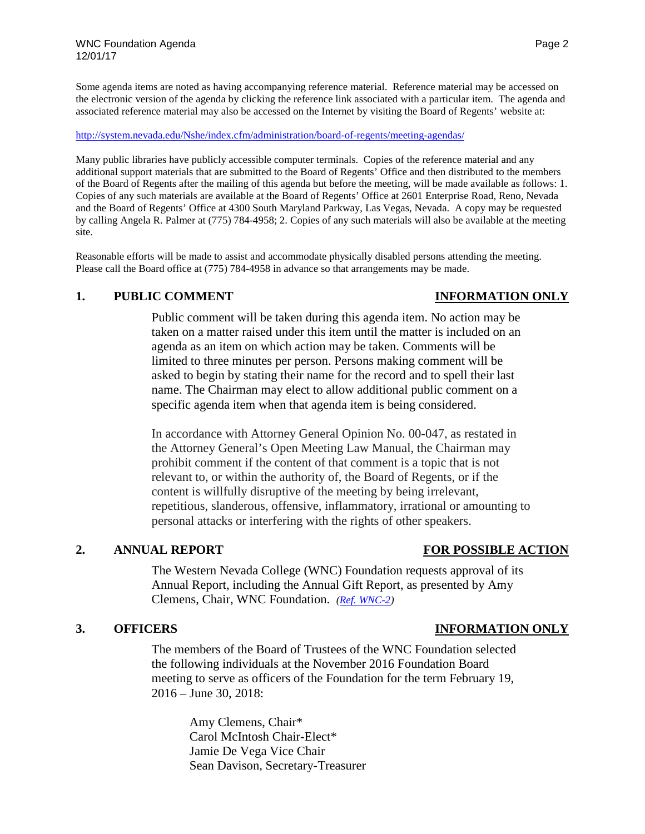Some agenda items are noted as having accompanying reference material. Reference material may be accessed on the electronic version of the agenda by clicking the reference link associated with a particular item. The agenda and associated reference material may also be accessed on the Internet by visiting the Board of Regents' website at:

### <http://system.nevada.edu/Nshe/index.cfm/administration/board-of-regents/meeting-agendas/>

Many public libraries have publicly accessible computer terminals. Copies of the reference material and any additional support materials that are submitted to the Board of Regents' Office and then distributed to the members of the Board of Regents after the mailing of this agenda but before the meeting, will be made available as follows: 1. Copies of any such materials are available at the Board of Regents' Office at 2601 Enterprise Road, Reno, Nevada and the Board of Regents' Office at 4300 South Maryland Parkway, Las Vegas, Nevada. A copy may be requested by calling Angela R. Palmer at (775) 784-4958; 2. Copies of any such materials will also be available at the meeting site.

Reasonable efforts will be made to assist and accommodate physically disabled persons attending the meeting. Please call the Board office at (775) 784-4958 in advance so that arrangements may be made.

### **1. PUBLIC COMMENT INFORMATION ONLY**

Public comment will be taken during this agenda item. No action may be taken on a matter raised under this item until the matter is included on an agenda as an item on which action may be taken. Comments will be limited to three minutes per person. Persons making comment will be asked to begin by stating their name for the record and to spell their last name. The Chairman may elect to allow additional public comment on a specific agenda item when that agenda item is being considered.

In accordance with Attorney General Opinion No. 00-047, as restated in the Attorney General's Open Meeting Law Manual, the Chairman may prohibit comment if the content of that comment is a topic that is not relevant to, or within the authority of, the Board of Regents, or if the content is willfully disruptive of the meeting by being irrelevant, repetitious, slanderous, offensive, inflammatory, irrational or amounting to personal attacks or interfering with the rights of other speakers.

### **2. ANNUAL REPORT FOR POSSIBLE ACTION**

The Western Nevada College (WNC) Foundation requests approval of its Annual Report, including the Annual Gift Report, as presented by Amy Clemens, Chair, WNC Foundation. *[\(Ref. WNC-2\)](https://nshe.nevada.edu/wp-content/uploads/file/BoardOfRegents/Agendas/2017/nov-mtgs/foundation-refs/wnc/WNC-2.pdf)*

### **3. OFFICERS INFORMATION ONLY**

The members of the Board of Trustees of the WNC Foundation selected the following individuals at the November 2016 Foundation Board meeting to serve as officers of the Foundation for the term February 19, 2016 – June 30, 2018:

> Amy Clemens, Chair\* Carol McIntosh Chair-Elect\* Jamie De Vega Vice Chair Sean Davison, Secretary-Treasurer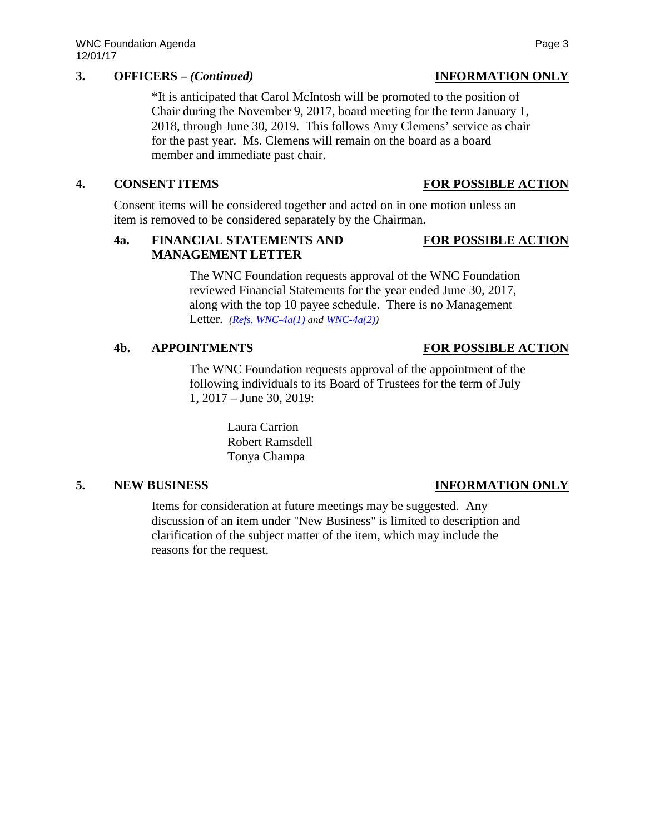## **3. OFFICERS –** *(Continued)* **INFORMATION ONLY**

\*It is anticipated that Carol McIntosh will be promoted to the position of Chair during the November 9, 2017, board meeting for the term January 1, 2018, through June 30, 2019. This follows Amy Clemens' service as chair for the past year. Ms. Clemens will remain on the board as a board member and immediate past chair.

# **4. CONSENT ITEMS FOR POSSIBLE ACTION**

Consent items will be considered together and acted on in one motion unless an item is removed to be considered separately by the Chairman.

# **4a. FINANCIAL STATEMENTS AND FOR POSSIBLE ACTION MANAGEMENT LETTER**

The WNC Foundation requests approval of the WNC Foundation reviewed Financial Statements for the year ended June 30, 2017, along with the top 10 payee schedule. There is no Management Letter. *[\(Refs. WNC-4a\(1\)](https://nshe.nevada.edu/wp-content/uploads/file/BoardOfRegents/Agendas/2017/nov-mtgs/foundation-refs/wnc/WNC-4a(1).pdf) and [WNC-4a\(2\)\)](https://nshe.nevada.edu/wp-content/uploads/file/BoardOfRegents/Agendas/2017/nov-mtgs/foundation-refs/wnc/WNC-4a(2).pdf)*

# **4b. APPOINTMENTS FOR POSSIBLE ACTION**

The WNC Foundation requests approval of the appointment of the following individuals to its Board of Trustees for the term of July 1, 2017 – June 30, 2019:

> Laura Carrion Robert Ramsdell Tonya Champa

Items for consideration at future meetings may be suggested. Any discussion of an item under "New Business" is limited to description and clarification of the subject matter of the item, which may include the reasons for the request.

# **5. NEW BUSINESS INFORMATION ONLY**